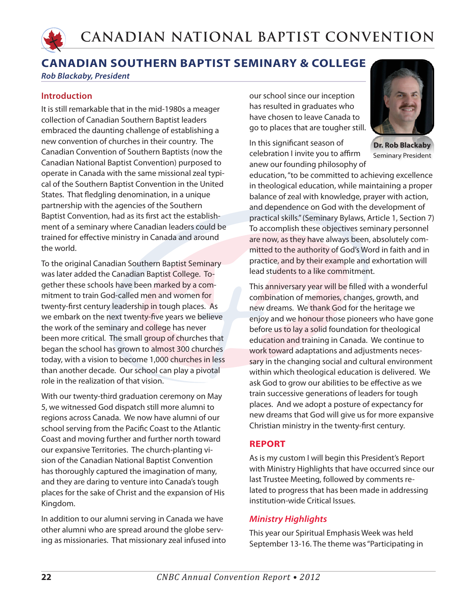

*Rob Blackaby, President*

### **Introduction**

It is still remarkable that in the mid-1980s a meager collection of Canadian Southern Baptist leaders embraced the daunting challenge of establishing a new convention of churches in their country. The Canadian Convention of Southern Baptists (now the Canadian National Baptist Convention) purposed to operate in Canada with the same missional zeal typical of the Southern Baptist Convention in the United States. That fledgling denomination, in a unique partnership with the agencies of the Southern Baptist Convention, had as its first act the establishment of a seminary where Canadian leaders could be trained for effective ministry in Canada and around the world.

To the original Canadian Southern Baptist Seminary was later added the Canadian Baptist College. Together these schools have been marked by a commitment to train God-called men and women for twenty-first century leadership in tough places. As we embark on the next twenty-five years we believe the work of the seminary and college has never been more critical. The small group of churches that began the school has grown to almost 300 churches today, with a vision to become 1,000 churches in less than another decade. Our school can play a pivotal role in the realization of that vision.

With our twenty-third graduation ceremony on May 5, we witnessed God dispatch still more alumni to regions across Canada. We now have alumni of our school serving from the Pacific Coast to the Atlantic Coast and moving further and further north toward our expansive Territories. The church-planting vision of the Canadian National Baptist Convention has thoroughly captured the imagination of many, and they are daring to venture into Canada's tough places for the sake of Christ and the expansion of His Kingdom.

In addition to our alumni serving in Canada we have other alumni who are spread around the globe serving as missionaries. That missionary zeal infused into our school since our inception has resulted in graduates who have chosen to leave Canada to go to places that are tougher still.

In this significant season of celebration I invite you to affirm anew our founding philosophy of



**Dr. Rob Blackaby** Seminary President

education, "to be committed to achieving excellence in theological education, while maintaining a proper balance of zeal with knowledge, prayer with action, and dependence on God with the development of practical skills." (Seminary Bylaws, Article 1, Section 7) To accomplish these objectives seminary personnel are now, as they have always been, absolutely committed to the authority of God's Word in faith and in practice, and by their example and exhortation will lead students to a like commitment.

This anniversary year will be filled with a wonderful combination of memories, changes, growth, and new dreams. We thank God for the heritage we enjoy and we honour those pioneers who have gone before us to lay a solid foundation for theological education and training in Canada. We continue to work toward adaptations and adjustments necessary in the changing social and cultural environment within which theological education is delivered. We ask God to grow our abilities to be effective as we train successive generations of leaders for tough places. And we adopt a posture of expectancy for new dreams that God will give us for more expansive Christian ministry in the twenty-first century.

## **REPORT**

As is my custom I will begin this President's Report with Ministry Highlights that have occurred since our last Trustee Meeting, followed by comments related to progress that has been made in addressing institution-wide Critical Issues.

## *Ministry Highlights*

This year our Spiritual Emphasis Week was held September 13-16. The theme was "Participating in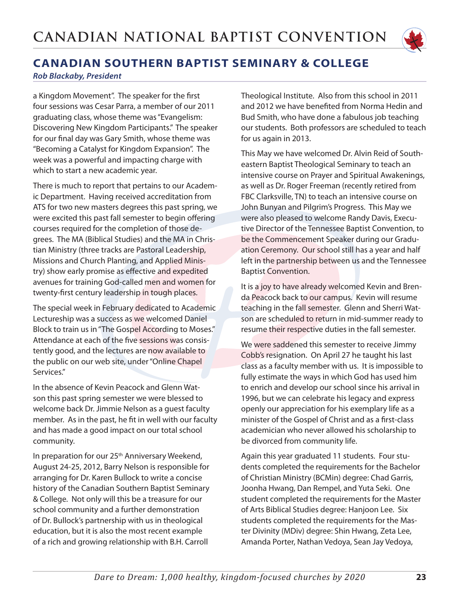

*Rob Blackaby, President*

a Kingdom Movement". The speaker for the first four sessions was Cesar Parra, a member of our 2011 graduating class, whose theme was "Evangelism: Discovering New Kingdom Participants." The speaker for our final day was Gary Smith, whose theme was "Becoming a Catalyst for Kingdom Expansion". The week was a powerful and impacting charge with which to start a new academic year.

There is much to report that pertains to our Academic Department. Having received accreditation from ATS for two new masters degrees this past spring, we were excited this past fall semester to begin offering courses required for the completion of those degrees. The MA (Biblical Studies) and the MA in Christian Ministry (three tracks are Pastoral Leadership, Missions and Church Planting, and Applied Ministry) show early promise as effective and expedited avenues for training God-called men and women for twenty-first century leadership in tough places.

The special week in February dedicated to Academic Lectureship was a success as we welcomed Daniel Block to train us in "The Gospel According to Moses." Attendance at each of the five sessions was consistently good, and the lectures are now available to the public on our web site, under "Online Chapel Services."

In the absence of Kevin Peacock and Glenn Watson this past spring semester we were blessed to welcome back Dr. Jimmie Nelson as a guest faculty member. As in the past, he fit in well with our faculty and has made a good impact on our total school community.

In preparation for our 25<sup>th</sup> Anniversary Weekend, August 24-25, 2012, Barry Nelson is responsible for arranging for Dr. Karen Bullock to write a concise history of the Canadian Southern Baptist Seminary & College. Not only will this be a treasure for our school community and a further demonstration of Dr. Bullock's partnership with us in theological education, but it is also the most recent example of a rich and growing relationship with B.H. Carroll

Theological Institute. Also from this school in 2011 and 2012 we have benefited from Norma Hedin and Bud Smith, who have done a fabulous job teaching our students. Both professors are scheduled to teach for us again in 2013.

This May we have welcomed Dr. Alvin Reid of Southeastern Baptist Theological Seminary to teach an intensive course on Prayer and Spiritual Awakenings, as well as Dr. Roger Freeman (recently retired from FBC Clarksville, TN) to teach an intensive course on John Bunyan and Pilgrim's Progress. This May we were also pleased to welcome Randy Davis, Executive Director of the Tennessee Baptist Convention, to be the Commencement Speaker during our Graduation Ceremony. Our school still has a year and half left in the partnership between us and the Tennessee Baptist Convention.

It is a joy to have already welcomed Kevin and Brenda Peacock back to our campus. Kevin will resume teaching in the fall semester. Glenn and Sherri Watson are scheduled to return in mid-summer ready to resume their respective duties in the fall semester.

We were saddened this semester to receive Jimmy Cobb's resignation. On April 27 he taught his last class as a faculty member with us. It is impossible to fully estimate the ways in which God has used him to enrich and develop our school since his arrival in 1996, but we can celebrate his legacy and express openly our appreciation for his exemplary life as a minister of the Gospel of Christ and as a first-class academician who never allowed his scholarship to be divorced from community life.

Again this year graduated 11 students. Four students completed the requirements for the Bachelor of Christian Ministry (BCMin) degree: Chad Garris, Joonha Hwang, Dan Rempel, and Yuta Seki. One student completed the requirements for the Master of Arts Biblical Studies degree: Hanjoon Lee. Six students completed the requirements for the Master Divinity (MDiv) degree: Shin Hwang, Zeta Lee, Amanda Porter, Nathan Vedoya, Sean Jay Vedoya,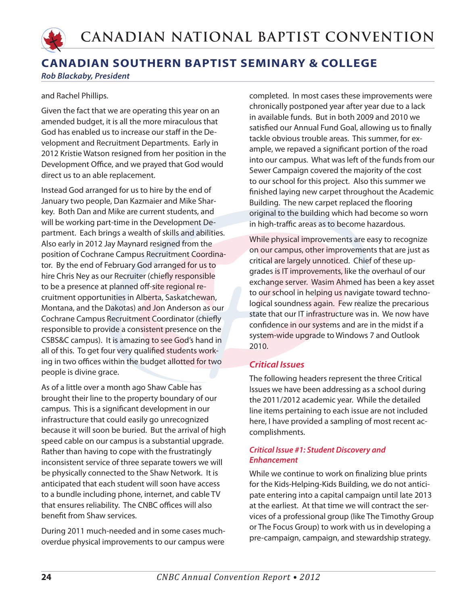

#### *Rob Blackaby, President*

#### and Rachel Phillips.

Given the fact that we are operating this year on an amended budget, it is all the more miraculous that God has enabled us to increase our staff in the Development and Recruitment Departments. Early in 2012 Kristie Watson resigned from her position in the Development Office, and we prayed that God would direct us to an able replacement.

Instead God arranged for us to hire by the end of January two people, Dan Kazmaier and Mike Sharkey. Both Dan and Mike are current students, and will be working part-time in the Development Department. Each brings a wealth of skills and abilities. Also early in 2012 Jay Maynard resigned from the position of Cochrane Campus Recruitment Coordinator. By the end of February God arranged for us to hire Chris Ney as our Recruiter (chiefly responsible to be a presence at planned off-site regional recruitment opportunities in Alberta, Saskatchewan, Montana, and the Dakotas) and Jon Anderson as our Cochrane Campus Recruitment Coordinator (chiefly responsible to provide a consistent presence on the CSBS&C campus). It is amazing to see God's hand in all of this. To get four very qualified students working in two offices within the budget allotted for two people is divine grace.

As of a little over a month ago Shaw Cable has brought their line to the property boundary of our campus. This is a significant development in our infrastructure that could easily go unrecognized because it will soon be buried. But the arrival of high speed cable on our campus is a substantial upgrade. Rather than having to cope with the frustratingly inconsistent service of three separate towers we will be physically connected to the Shaw Network. It is anticipated that each student will soon have access to a bundle including phone, internet, and cable TV that ensures reliability. The CNBC offices will also benefit from Shaw services.

During 2011 much-needed and in some cases muchoverdue physical improvements to our campus were completed. In most cases these improvements were chronically postponed year after year due to a lack in available funds. But in both 2009 and 2010 we satisfied our Annual Fund Goal, allowing us to finally tackle obvious trouble areas. This summer, for example, we repaved a significant portion of the road into our campus. What was left of the funds from our Sewer Campaign covered the majority of the cost to our school for this project. Also this summer we finished laying new carpet throughout the Academic Building. The new carpet replaced the flooring original to the building which had become so worn in high-traffic areas as to become hazardous.

While physical improvements are easy to recognize on our campus, other improvements that are just as critical are largely unnoticed. Chief of these upgrades is IT improvements, like the overhaul of our exchange server. Wasim Ahmed has been a key asset to our school in helping us navigate toward technological soundness again. Few realize the precarious state that our IT infrastructure was in. We now have confidence in our systems and are in the midst if a system-wide upgrade to Windows 7 and Outlook 2010.

### *Critical Issues*

The following headers represent the three Critical Issues we have been addressing as a school during the 2011/2012 academic year. While the detailed line items pertaining to each issue are not included here, I have provided a sampling of most recent accomplishments.

#### *Critical Issue #1: Student Discovery and Enhancement*

While we continue to work on finalizing blue prints for the Kids-Helping-Kids Building, we do not anticipate entering into a capital campaign until late 2013 at the earliest. At that time we will contract the services of a professional group (like The Timothy Group or The Focus Group) to work with us in developing a pre-campaign, campaign, and stewardship strategy.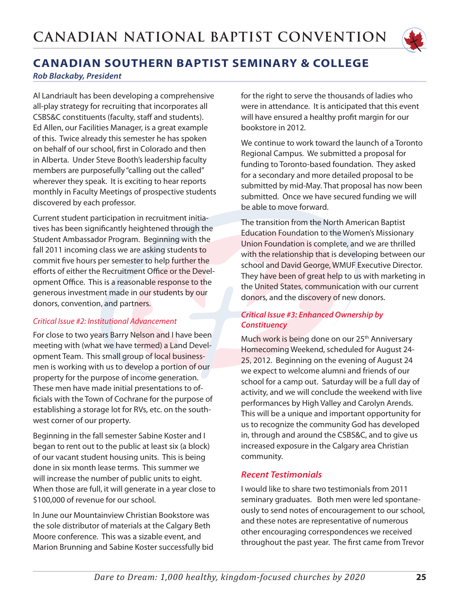

*Rob Blackaby, President*

Al Landriault has been developing a comprehensive all-play strategy for recruiting that incorporates all CSBS&C constituents (faculty, staff and students). Ed Allen, our Facilities Manager, is a great example of this. Twice already this semester he has spoken on behalf of our school, first in Colorado and then in Alberta. Under Steve Booth's leadership faculty members are purposefully "calling out the called" wherever they speak. It is exciting to hear reports monthly in Faculty Meetings of prospective students discovered by each professor.

Current student participation in recruitment initiatives has been significantly heightened through the Student Ambassador Program. Beginning with the fall 2011 incoming class we are asking students to commit five hours per semester to help further the efforts of either the Recruitment Office or the Development Office. This is a reasonable response to the generous investment made in our students by our donors, convention, and partners.

### *Critical Issue #2: Institutional Advancement*

For close to two years Barry Nelson and I have been meeting with (what we have termed) a Land Development Team. This small group of local businessmen is working with us to develop a portion of our property for the purpose of income generation. These men have made initial presentations to officials with the Town of Cochrane for the purpose of establishing a storage lot for RVs, etc. on the southwest corner of our property.

Beginning in the fall semester Sabine Koster and I began to rent out to the public at least six (a block) of our vacant student housing units. This is being done in six month lease terms. This summer we will increase the number of public units to eight. When those are full, it will generate in a year close to \$100,000 of revenue for our school.

In June our Mountainview Christian Bookstore was the sole distributor of materials at the Calgary Beth Moore conference. This was a sizable event, and Marion Brunning and Sabine Koster successfully bid for the right to serve the thousands of ladies who were in attendance. It is anticipated that this event will have ensured a healthy profit margin for our bookstore in 2012.

We continue to work toward the launch of a Toronto Regional Campus. We submitted a proposal for funding to Toronto-based foundation. They asked for a secondary and more detailed proposal to be submitted by mid-May. That proposal has now been submitted. Once we have secured funding we will be able to move forward.

The transition from the North American Baptist Education Foundation to the Women's Missionary Union Foundation is complete, and we are thrilled with the relationship that is developing between our school and David George, WMUF Executive Director. They have been of great help to us with marketing in the United States, communication with our current donors, and the discovery of new donors.

### *Critical Issue #3: Enhanced Ownership by Constituency*

Much work is being done on our 25<sup>th</sup> Anniversary Homecoming Weekend, scheduled for August 24- 25, 2012. Beginning on the evening of August 24 we expect to welcome alumni and friends of our school for a camp out. Saturday will be a full day of activity, and we will conclude the weekend with live performances by High Valley and Carolyn Arends. This will be a unique and important opportunity for us to recognize the community God has developed in, through and around the CSBS&C, and to give us increased exposure in the Calgary area Christian community.

## *Recent Testimonials*

I would like to share two testimonials from 2011 seminary graduates. Both men were led spontaneously to send notes of encouragement to our school, and these notes are representative of numerous other encouraging correspondences we received throughout the past year. The first came from Trevor